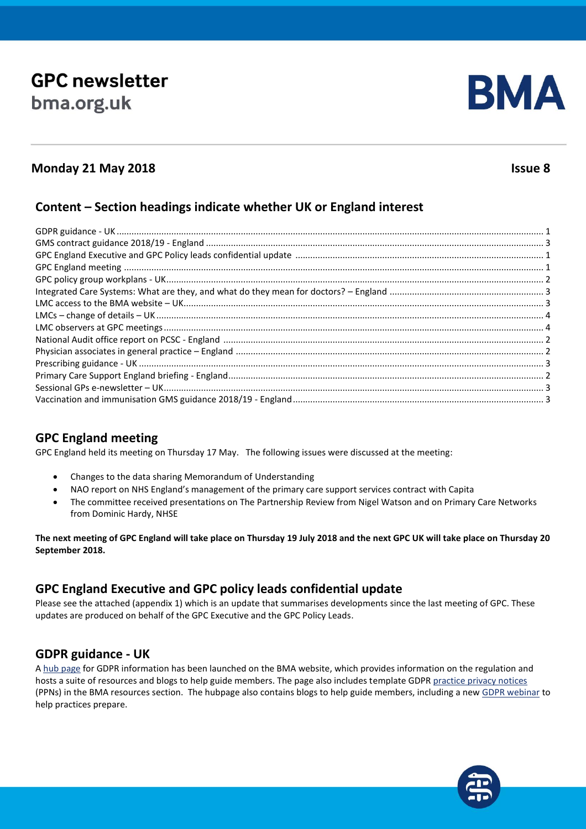# **GPC newsletter** bma.org.uk



# **Monday 21 May 2018 Issue 8**

# **Content – Section headings indicate whether UK or England interest**

# **GPC England meeting**

GPC England held its meeting on Thursday 17 May. The following issues were discussed at the meeting:

- Changes to the data sharing Memorandum of Understanding
- NAO report on NHS England's management of the primary care support services contract with Capita
- The committee received presentations on The Partnership Review from Nigel Watson and on Primary Care Networks from Dominic Hardy, NHSE

**The next meeting of GPC England will take place on Thursday 19 July 2018 and the next GPC UK will take place on Thursday 20 September 2018.**

# **GPC England Executive and GPC policy leads confidential update**

Please see the attached (appendix 1) which is an update that summarises developments since the last meeting of GPC. These updates are produced on behalf of the GPC Executive and the GPC Policy Leads.

#### **GDPR guidance - UK**

A [hub page](http://www.bma.org.uk/advice/employment/ethics/confidentiality-and-health-records/general-data-protection-regulation-gdpr) for GDPR information has been launched on the BMA website, which provides information on the regulation and hosts a suite of resources and blogs to help guide members. The page also includes template GDPR [practice privacy notices](https://www.bma.org.uk/advice/employment/ethics/confidentiality-and-health-records/general-data-protection-regulation-gdpr/gdpr-and-practice-privacy-notices-ppns) (PPNs) in the BMA resources section. The hubpage also contains blogs to help guide members, including a ne[w GDPR webinar](https://event.on24.com/eventRegistration/eventRegistrationServlet?referrer=https%3A%2F%2Fwww.bma.org.uk%2Fadvice%2Femployment%2Fethics%2Fconfidentiality-and-health-records%2Fgeneral-data-protection-regulation-gdpr&eventid=1653000&sessionid=1&key=A5CB9673877CB4B14705A7E5886593DD®Tag=) to help practices prepare.

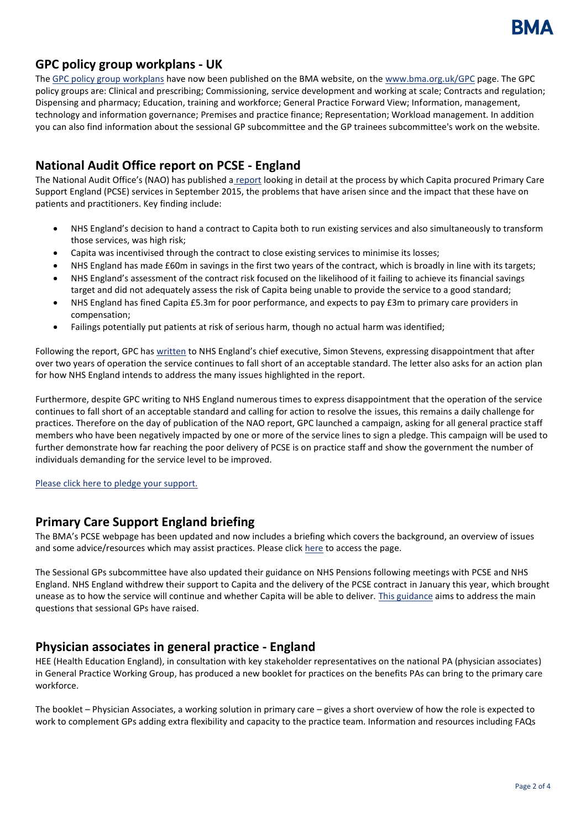

## **GPC policy group workplans - UK**

Th[e GPC policy group workplans](https://www.bma.org.uk/collective-voice/committees/general-practitioners-committee/gpc-policy-groups) have now been published on the BMA website, on the [www.bma.org.uk/GPC](http://www.bma.org.uk/GPC) page. The GPC policy groups are: Clinical and prescribing; Commissioning, service development and working at scale; Contracts and regulation; Dispensing and pharmacy; Education, training and workforce; General Practice Forward View; Information, management, technology and information governance; Premises and practice finance; Representation; Workload management. In addition you can also find information about the sessional GP subcommittee and the GP trainees subcommittee's work on the website.

# **National Audit Office report on PCSE - England**

The National Audit Office's (NAO) has published a [report](https://www.nao.org.uk/report/nhs-englands-management-of-the-primary-care-support-services-contract-with-capita/1) looking in detail at the process by which Capita procured Primary Care Support England (PCSE) services in September 2015, the problems that have arisen since and the impact that these have on patients and practitioners. Key finding include:

- NHS England's decision to hand a contract to Capita both to run existing services and also simultaneously to transform those services, was high risk;
- Capita was incentivised through the contract to close existing services to minimise its losses;
- NHS England has made £60m in savings in the first two years of the contract, which is broadly in line with its targets;
- NHS England's assessment of the contract risk focused on the likelihood of it failing to achieve its financial savings target and did not adequately assess the risk of Capita being unable to provide the service to a good standard;
- NHS England has fined Capita £5.3m for poor performance, and expects to pay £3m to primary care providers in compensation;
- Failings potentially put patients at risk of serious harm, though no actual harm was identified;

Following the report, GPC has [written](https://www.bma.org.uk/collective-voice/committees/general-practitioners-committee/gpc-current-issues/capita-service-failure) to NHS England's chief executive, Simon Stevens, expressing disappointment that after over two years of operation the service continues to fall short of an acceptable standard. The letter also asks for an action plan for how NHS England intends to address the many issues highlighted in the report.

Furthermore, despite GPC writing to NHS England numerous times to express disappointment that the operation of the service continues to fall short of an acceptable standard and calling for action to resolve the issues, this remains a daily challenge for practices. Therefore on the day of publication of the NAO report, GPC launched a campaign, asking for all general practice staff members who have been negatively impacted by one or more of the service lines to sign a pledge. This campaign will be used to further demonstrate how far reaching the poor delivery of PCSE is on practice staff and show the government the number of individuals demanding for the service level to be improved.

[Please click here to pledge your support.](https://e-activist.com/page/24587/petition/1)

#### **Primary Care Support England briefing**

The BMA's PCSE webpage has been updated and now includes a briefing which covers the background, an overview of issues and some advice/resources which may assist practices. Please clic[k here](https://www.bma.org.uk/collective-voice/committees/general-practitioners-committee/gpc-current-issues/capita-service-failure) to access the page.

The Sessional GPs subcommittee have also updated their guidance on NHS Pensions following meetings with PCSE and NHS England. NHS England withdrew their support to Capita and the delivery of the PCSE contract in January this year, which brought unease as to how the service will continue and whether Capita will be able to deliver. [This guidance](https://www.bma.org.uk/collective-voice/committees/general-practitioners-committee/sessional-gps-subcommittee/sessional-gps-pension-guidance) aims to address the main questions that sessional GPs have raised.

#### **Physician associates in general practice - England**

HEE (Health Education England), in consultation with key stakeholder representatives on the national PA (physician associates) in General Practice Working Group, has produced a new booklet for practices on the benefits PAs can bring to the primary care workforce.

The booklet – Physician Associates, a working solution in primary care – gives a short overview of how the role is expected to work to complement GPs adding extra flexibility and capacity to the practice team. Information and resources including FAQs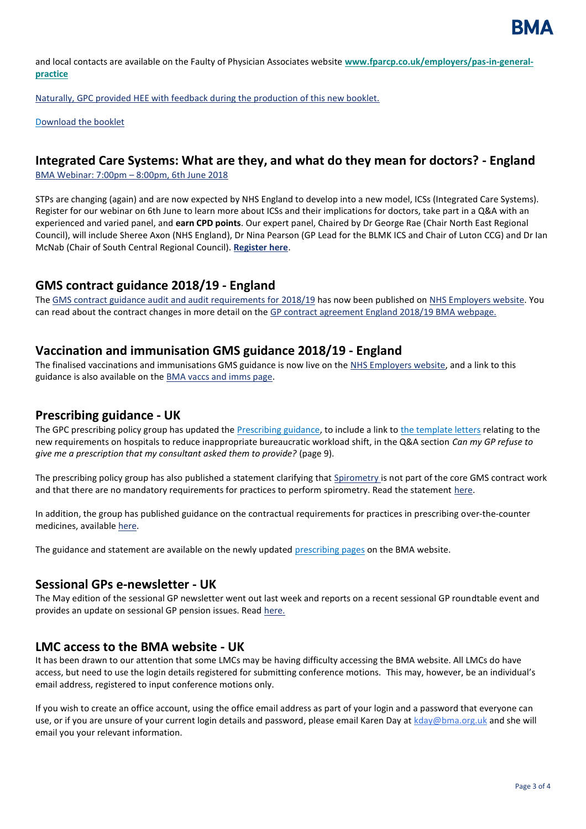and local contacts are available on the Faulty of Physician Associates website **[www.fparcp.co.uk/employers/pas-in-general](http://www.fparcp.co.uk/employers/pas-in-general-practice)[practice](http://www.fparcp.co.uk/employers/pas-in-general-practice)**

Naturally, GPC provided HEE with feedback during the production of this new booklet.

[Download the booklet](http://www.fparcp.co.uk/employers/pas-in-general-practice)

#### **Integrated Care Systems: What are they, and what do they mean for doctors? - England**

[BMA Webinar: 7:00pm](https://www.eventbrite.co.uk/e/integrated-care-systems-what-are-they-and-what-do-they-mean-for-doctors-tickets-45510255399) – 8:00pm, 6th June 2018

STPs are changing (again) and are now expected by NHS England to develop into a new model, ICSs (Integrated Care Systems). Register for our webinar on 6th June to learn more about ICSs and their implications for doctors, take part in a Q&A with an experienced and varied panel, and **earn CPD points**. Our expert panel, Chaired by Dr George Rae (Chair North East Regional Council), will include Sheree Axon (NHS England), Dr Nina Pearson (GP Lead for the BLMK ICS and Chair of Luton CCG) and Dr Ian McNab (Chair of South Central Regional Council). **[Register here](https://www.eventbrite.co.uk/e/integrated-care-systems-what-are-they-and-what-do-they-mean-for-doctors-tickets-45510255399)**.

#### **GMS contract guidance 2018/19 - England**

Th[e GMS contract guidance audit and audit requirements for 2018/19](http://www.nhsemployers.org/-/media/Employers/Documents/Primary-care-contracts/V-and-I/2018-19-GMS-guidance.pdf) has now been published on [NHS Employers website.](http://www.nhsemployers.org/GMS201819) You can read about the contract changes in more detail on th[e GP contract agreement England 2018/19 BMA webpage.](https://www.bma.org.uk/collective-voice/committees/general-practitioners-committee/gpc-england/gp-contract-agreement-england)

#### **Vaccination and immunisation GMS guidance 2018/19 - England**

The finalised vaccinations and immunisations GMS guidance is now live on the [NHS Employers website,](http://www.nhsemployers.org/-/media/Employers/Documents/Campaigns/Flu-fighter/2018-19/201819-Vaccination-and-immunisation-guidance-and-audit-requirements.PDF?la=en&hash=18E97530235DDB268C4A211A2B3E41EE1081D430) and a link to this guidance is also available on the [BMA vaccs and imms page.](https://www.bma.org.uk/advice/employment/gp-practices/service-provision/prescribing/vaccination)

#### **Prescribing guidance - UK**

The GPC prescribing policy group has updated th[e Prescribing guidance,](https://www.bma.org.uk/advice/employment/gp-practices/service-provision/prescribing/prescribing-in-general-practice) to include a link to [the template letters](https://www.bma.org.uk/collective-voice/committees/general-practitioners-committee/gpc-current-issues/nhs-england-standard-hospital-contract-guidance-2017-2019) relating to the new requirements on hospitals to reduce inappropriate bureaucratic workload shift, in the Q&A section *Can my GP refuse to give me a prescription that my consultant asked them to provide?* (page 9).

The prescribing policy group has also published a statement clarifying that [Spirometry i](https://www.pcc-cic.org.uk/sites/default/files/articles/attachments/improving_the_quality_of_diagnostic_spirometry_in_adults_the_national_register_of_certified_professionals_and_operators.pdf)s not part of the core GMS contract work and that there are no mandatory requirements for practices to perform spirometry. Read the statement [here.](https://www.bma.org.uk/advice/employment/gp-practices/service-provision/prescribing/spirometry-in-primary-care-gpc-statement)

In addition, the group has published guidance on the contractual requirements for practices in prescribing over-the-counter medicines, available [here.](https://www.bma.org.uk/advice/employment/gp-practices/service-provision/prescribing/low-value-medicine-guidance)

The guidance and statement are available on the newly updated [prescribing pages](https://www.bma.org.uk/advice/employment/gp-practices/service-provision/prescribing) on the BMA website.

#### **Sessional GPs e-newsletter - UK**

The May edition of the sessional GP newsletter went out last week and reports on a recent sessional GP roundtable event and provides an update on sessional GP pension issues. Read [here.](https://bma-mail.org.uk/t/JVX-5MQQV-1BJCJOU46E/cr.aspx)

#### **LMC access to the BMA website - UK**

It has been drawn to our attention that some LMCs may be having difficulty accessing the BMA website. All LMCs do have access, but need to use the login details registered for submitting conference motions. This may, however, be an individual's email address, registered to input conference motions only.

If you wish to create an office account, using the office email address as part of your login and a password that everyone can use, or if you are unsure of your current login details and password, please email Karen Day a[t kday@bma.org.uk](mailto:kday@bma.org.uk) and she will email you your relevant information.